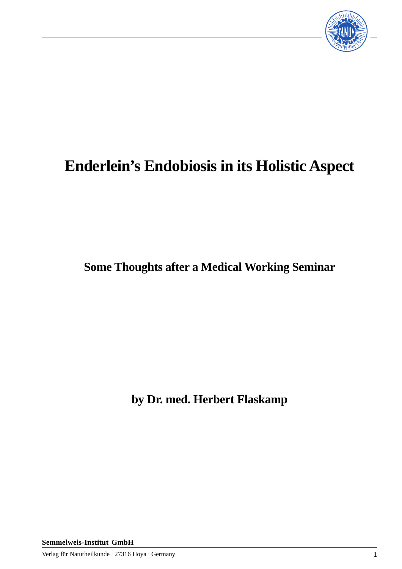

## **Enderlein's Endobiosis in its Holistic Aspect**

**Some Thoughts after a Medical Working Seminar**

**by Dr. med. Herbert Flaskamp**

**Semmelweis-Institut GmbH**

Verlag für Naturheilkunde · 27316 Hoya · Germany 1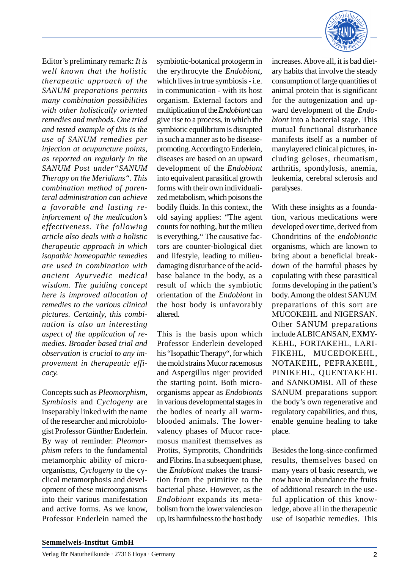Editor's preliminary remark: *It is well known that the holistic therapeutic approach of the SANUM preparations permits many combination possibilities with other holistically oriented remedies and methods. One tried and tested example of this is the use of SANUM remedies per injection at acupuncture points, as reported on regularly in the SANUM Post under"SANUM Therapy on the Meridians". This combination method of parenteral administration can achieve a favorable and lasting reinforcement of the medication's effectiveness. The following article also deals with a holistic therapeutic approach in which isopathic homeopathic remedies are used in combination with ancient Ayurvedic medical wisdom. The guiding concept here is improved allocation of remedies to the various clinical pictures. Certainly, this combination is also an interesting aspect of the application of remedies. Broader based trial and observation is crucial to any improvement in therapeutic efficacy.*

Concepts such as *Pleomorphism, Symbiosis* and *Cyclogeny* are inseparably linked with the name of the researcher and microbiologist Professor Günther Enderlein. By way of reminder: *Pleomorphism* refers to the fundamental metamorphic ability of microorganisms, *Cyclogeny* to the cyclical metamorphosis and development of these microorganisms into their various manifestation and active forms. As we know, Professor Enderlein named the symbiotic-botanical protogerm in the erythrocyte the *Endobiont,* which lives in true symbiosis - i.e. in communication - with its host organism. External factors and multiplication of the *Endobiont* can give rise to a process, in which the symbiotic equilibrium is disrupted in such a manner as to be diseasepromoting. According to Enderlein, diseases are based on an upward development of the *Endobiont* into equivalent parasitical growth forms with their own individualized metabolism, which poisons the bodily fluids. In this context, the old saying applies: "The agent counts for nothing, but the milieu is everything." The causative factors are counter-biological diet and lifestyle, leading to milieudamaging disturbance of the acidbase balance in the body, as a result of which the symbiotic orientation of the *Endobiont* in the host body is unfavorably altered.

This is the basis upon which Professor Enderlein developed his "Isopathic Therapy", for which the mold strains Mucor racemosus and Aspergillus niger provided the starting point. Both microorganisms appear as *Endobionts* in various developmental stages in the bodies of nearly all warmblooded animals. The lowervalency phases of Mucor racemosus manifest themselves as Protits, Symprotits, Chondritids and Fibrins. In a subsequent phase, the *Endobiont* makes the transition from the primitive to the bacterial phase. However, as the *Endobiont* expands its metabolism from the lower valencies on up, its harmfulness to the host body



increases. Above all, it is bad dietary habits that involve the steady consumption of large quantities of animal protein that is significant for the autogenization and upward development of the *Endobiont* into a bacterial stage. This mutual functional disturbance manifests itself as a number of manylayered clinical pictures, including geloses, rheumatism, arthritis, spondylosis, anemia, leukemia, cerebral sclerosis and paralyses.

With these insights as a foundation, various medications were developed over time, derived from Chondritins of the *endobiontic* organisms, which are known to bring about a beneficial breakdown of the harmful phases by copulating with these parasitical forms developing in the patient's body. Among the oldest SANUM preparations of this sort are MUCOKEHL and NIGERSAN. Other SANUM preparations include ALBICANSAN, EXMY-KEHL, FORTAKEHL, LARI-FIKEHL, MUCEDOKEHL, NOTAKEHL, PEFRAKEHL, PINIKEHL, QUENTAKEHL and SANKOMBI. All of these SANUM preparations support the body's own regenerative and regulatory capabilities, and thus, enable genuine healing to take place.

Besides the long-since confirmed results, themselves based on many years of basic research, we now have in abundance the fruits of additional research in the useful application of this knowledge, above all in the therapeutic use of isopathic remedies. This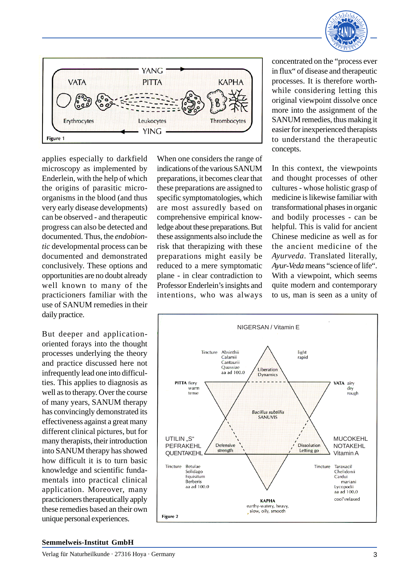



applies especially to darkfield microscopy as implemented by Enderlein, with the help of which the origins of parasitic microorganisms in the blood (and thus very early disease developments) can be observed - and therapeutic progress can also be detected and documented. Thus, the *endobiontic* developmental process can be documented and demonstrated conclusively. These options and opportunities are no doubt already well known to many of the practicioners familiar with the use of SANUM remedies in their daily practice.

But deeper and applicationoriented forays into the thought processes underlying the theory and practice discussed here not infrequently lead one into difficulties. This applies to diagnosis as well as to therapy. Over the course of many years, SANUM therapy has convincingly demonstrated its effectiveness against a great many different clinical pictures, but for many therapists, their introduction into SANUM therapy has showed how difficult it is to turn basic knowledge and scientific fundamentals into practical clinical application. Moreover, many practicioners therapeutically apply these remedies based an their own unique personal experiences.

When one considers the range of indications of the various SANUM preparations, it becomes clear that these preparations are assigned to specific symptomatologies, which are most assuredly based on comprehensive empirical knowledge about these preparations. But these assignments also include the risk that therapizing with these preparations might easily be reduced to a mere symptomatic plane - in clear contradiction to Professor Enderlein's insights and intentions, who was always

concentrated on the "process ever in flux" of disease and therapeutic processes. It is therefore worthwhile considering letting this original viewpoint dissolve once more into the assignment of the SANUM remedies, thus making it easier for inexperienced therapists to understand the therapeutic concepts.

In this context, the viewpoints and thought processes of other cultures - whose holistic grasp of medicine is likewise familiar with transformational phases in organic and bodily processes - can be helpful. This is valid for ancient Chinese medicine as well as for the ancient medicine of the *Ayurveda*. Translated literally, *Ayur-Veda* means "science of life". With a viewpoint, which seems quite modern and contemporary to us, man is seen as a unity of



## **Semmelweis-Institut GmbH**